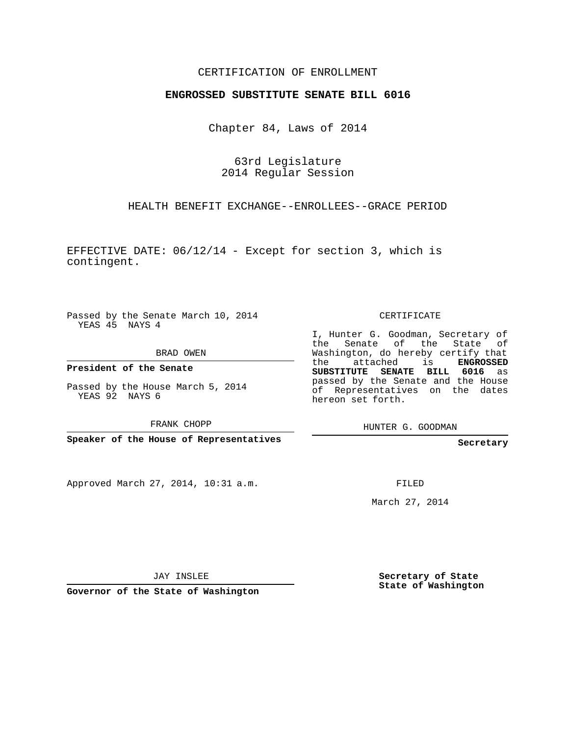## CERTIFICATION OF ENROLLMENT

## **ENGROSSED SUBSTITUTE SENATE BILL 6016**

Chapter 84, Laws of 2014

63rd Legislature 2014 Regular Session

HEALTH BENEFIT EXCHANGE--ENROLLEES--GRACE PERIOD

EFFECTIVE DATE: 06/12/14 - Except for section 3, which is contingent.

Passed by the Senate March 10, 2014 YEAS 45 NAYS 4

BRAD OWEN

**President of the Senate**

Passed by the House March 5, 2014 YEAS 92 NAYS 6

FRANK CHOPP

**Speaker of the House of Representatives**

Approved March 27, 2014, 10:31 a.m.

CERTIFICATE

I, Hunter G. Goodman, Secretary of the Senate of the State of Washington, do hereby certify that the attached is **ENGROSSED SUBSTITUTE SENATE BILL 6016** as passed by the Senate and the House of Representatives on the dates hereon set forth.

HUNTER G. GOODMAN

**Secretary**

FILED

March 27, 2014

JAY INSLEE

**Governor of the State of Washington**

**Secretary of State State of Washington**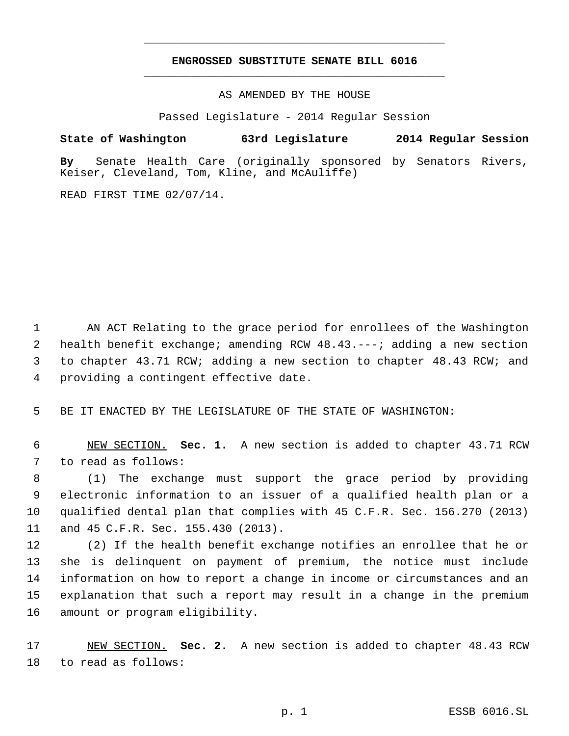## **ENGROSSED SUBSTITUTE SENATE BILL 6016** \_\_\_\_\_\_\_\_\_\_\_\_\_\_\_\_\_\_\_\_\_\_\_\_\_\_\_\_\_\_\_\_\_\_\_\_\_\_\_\_\_\_\_\_\_

\_\_\_\_\_\_\_\_\_\_\_\_\_\_\_\_\_\_\_\_\_\_\_\_\_\_\_\_\_\_\_\_\_\_\_\_\_\_\_\_\_\_\_\_\_

AS AMENDED BY THE HOUSE

Passed Legislature - 2014 Regular Session

## **State of Washington 63rd Legislature 2014 Regular Session**

**By** Senate Health Care (originally sponsored by Senators Rivers, Keiser, Cleveland, Tom, Kline, and McAuliffe)

READ FIRST TIME 02/07/14.

 AN ACT Relating to the grace period for enrollees of the Washington health benefit exchange; amending RCW 48.43.---; adding a new section to chapter 43.71 RCW; adding a new section to chapter 48.43 RCW; and providing a contingent effective date.

BE IT ENACTED BY THE LEGISLATURE OF THE STATE OF WASHINGTON:

 NEW SECTION. **Sec. 1.** A new section is added to chapter 43.71 RCW to read as follows:

 (1) The exchange must support the grace period by providing electronic information to an issuer of a qualified health plan or a qualified dental plan that complies with 45 C.F.R. Sec. 156.270 (2013) and 45 C.F.R. Sec. 155.430 (2013).

 (2) If the health benefit exchange notifies an enrollee that he or she is delinquent on payment of premium, the notice must include information on how to report a change in income or circumstances and an explanation that such a report may result in a change in the premium amount or program eligibility.

 NEW SECTION. **Sec. 2.** A new section is added to chapter 48.43 RCW to read as follows: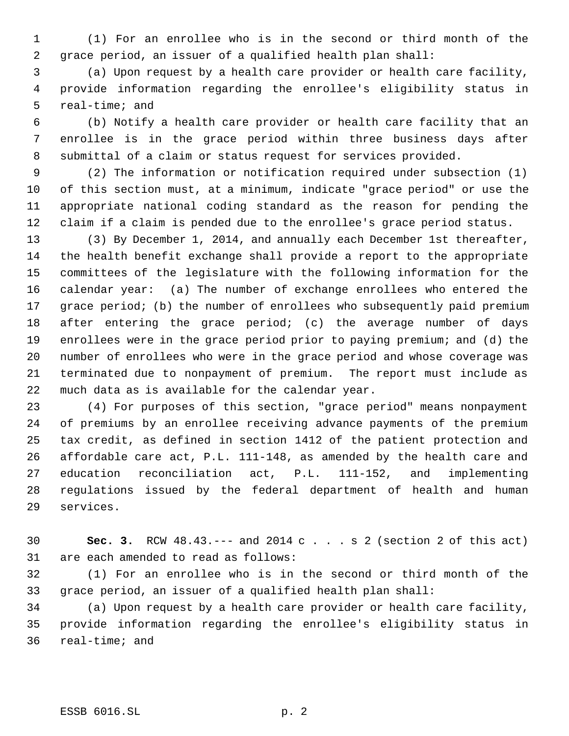(1) For an enrollee who is in the second or third month of the grace period, an issuer of a qualified health plan shall:

 (a) Upon request by a health care provider or health care facility, provide information regarding the enrollee's eligibility status in real-time; and

 (b) Notify a health care provider or health care facility that an enrollee is in the grace period within three business days after submittal of a claim or status request for services provided.

 (2) The information or notification required under subsection (1) of this section must, at a minimum, indicate "grace period" or use the appropriate national coding standard as the reason for pending the claim if a claim is pended due to the enrollee's grace period status.

 (3) By December 1, 2014, and annually each December 1st thereafter, the health benefit exchange shall provide a report to the appropriate committees of the legislature with the following information for the calendar year: (a) The number of exchange enrollees who entered the grace period; (b) the number of enrollees who subsequently paid premium 18 after entering the grace period; (c) the average number of days enrollees were in the grace period prior to paying premium; and (d) the number of enrollees who were in the grace period and whose coverage was terminated due to nonpayment of premium. The report must include as much data as is available for the calendar year.

 (4) For purposes of this section, "grace period" means nonpayment of premiums by an enrollee receiving advance payments of the premium tax credit, as defined in section 1412 of the patient protection and affordable care act, P.L. 111-148, as amended by the health care and education reconciliation act, P.L. 111-152, and implementing regulations issued by the federal department of health and human services.

 **Sec. 3.** RCW 48.43.--- and 2014 c . . . s 2 (section 2 of this act) are each amended to read as follows:

 (1) For an enrollee who is in the second or third month of the grace period, an issuer of a qualified health plan shall:

 (a) Upon request by a health care provider or health care facility, provide information regarding the enrollee's eligibility status in real-time; and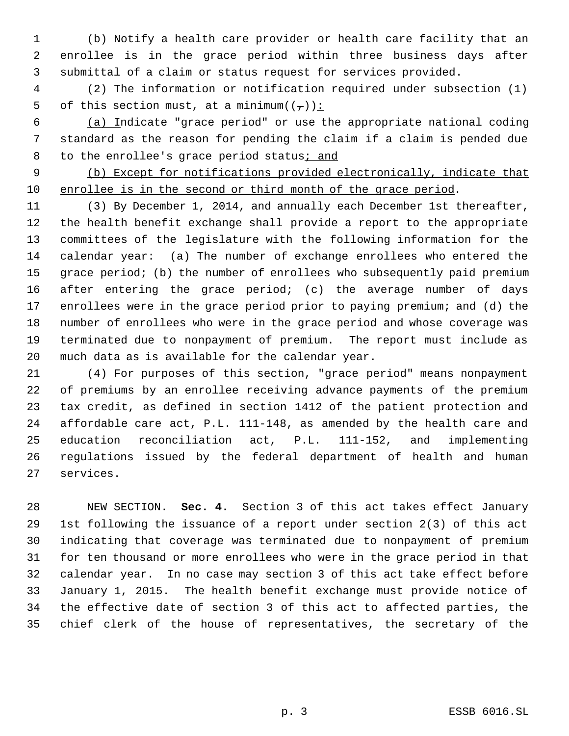(b) Notify a health care provider or health care facility that an enrollee is in the grace period within three business days after submittal of a claim or status request for services provided.

 (2) The information or notification required under subsection (1) 5 of this section must, at a minimum $((\tau))$ :

 (a) Indicate "grace period" or use the appropriate national coding standard as the reason for pending the claim if a claim is pended due 8 to the enrollee's grace period status; and

 (b) Except for notifications provided electronically, indicate that enrollee is in the second or third month of the grace period.

 (3) By December 1, 2014, and annually each December 1st thereafter, the health benefit exchange shall provide a report to the appropriate committees of the legislature with the following information for the calendar year: (a) The number of exchange enrollees who entered the grace period; (b) the number of enrollees who subsequently paid premium after entering the grace period; (c) the average number of days enrollees were in the grace period prior to paying premium; and (d) the number of enrollees who were in the grace period and whose coverage was terminated due to nonpayment of premium. The report must include as much data as is available for the calendar year.

 (4) For purposes of this section, "grace period" means nonpayment of premiums by an enrollee receiving advance payments of the premium tax credit, as defined in section 1412 of the patient protection and affordable care act, P.L. 111-148, as amended by the health care and education reconciliation act, P.L. 111-152, and implementing regulations issued by the federal department of health and human services.

 NEW SECTION. **Sec. 4.** Section 3 of this act takes effect January 1st following the issuance of a report under section 2(3) of this act indicating that coverage was terminated due to nonpayment of premium for ten thousand or more enrollees who were in the grace period in that calendar year. In no case may section 3 of this act take effect before January 1, 2015. The health benefit exchange must provide notice of the effective date of section 3 of this act to affected parties, the chief clerk of the house of representatives, the secretary of the